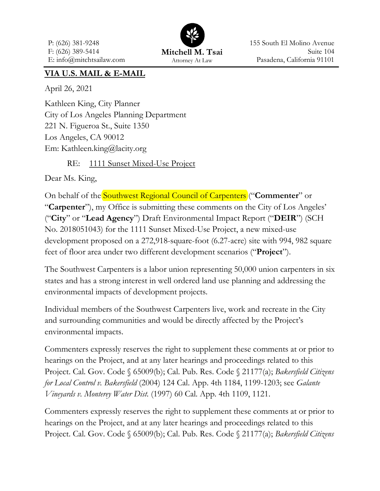P: (626) 381-9248 F: (626) 389-5414 E: info@mitchtsailaw.com



155 South El Molino Avenue Suite 104 Pasadena, California 91101

## **VIA U.S. MAIL & E-MAIL**

April 26, 2021

Kathleen King, City Planner City of Los Angeles Planning Department 221 N. Figueroa St., Suite 1350 Los Angeles, CA 90012 Em: Kathleen.king@lacity.org

RE: 1111 Sunset Mixed-Use Project

Dear Ms. King,

On behalf of the Southwest Regional Council of Carpenters ("**Commenter**" or "**Carpenter**"), my Office is submitting these comments on the City of Los Angeles' ("**City**" or "**Lead Agency**") Draft Environmental Impact Report ("**DEIR**") (SCH No. 2018051043) for the 1111 Sunset Mixed-Use Project, a new mixed-use development proposed on a 272,918-square-foot (6.27-acre) site with 994, 982 square feet of floor area under two different development scenarios ("**Project**").

The Southwest Carpenters is a labor union representing 50,000 union carpenters in six states and has a strong interest in well ordered land use planning and addressing the environmental impacts of development projects.

Individual members of the Southwest Carpenters live, work and recreate in the City and surrounding communities and would be directly affected by the Project's environmental impacts.

Commenters expressly reserves the right to supplement these comments at or prior to hearings on the Project, and at any later hearings and proceedings related to this Project. Cal. Gov. Code § 65009(b); Cal. Pub. Res. Code § 21177(a); *Bakersfield Citizens for Local Control v. Bakersfield* (2004) 124 Cal. App. 4th 1184, 1199-1203; see *Galante Vineyards v. Monterey Water Dist.* (1997) 60 Cal. App. 4th 1109, 1121.

Commenters expressly reserves the right to supplement these comments at or prior to hearings on the Project, and at any later hearings and proceedings related to this Project. Cal. Gov. Code § 65009(b); Cal. Pub. Res. Code § 21177(a); *Bakersfield Citizens*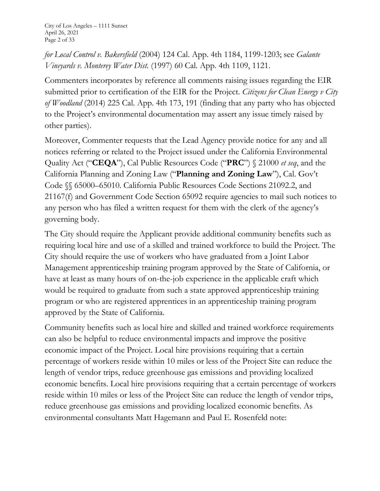*for Local Control v. Bakersfield* (2004) 124 Cal. App. 4th 1184, 1199-1203; see *Galante Vineyards v. Monterey Water Dist.* (1997) 60 Cal. App. 4th 1109, 1121.

Commenters incorporates by reference all comments raising issues regarding the EIR submitted prior to certification of the EIR for the Project. *Citizens for Clean Energy v City of Woodland* (2014) 225 Cal. App. 4th 173, 191 (finding that any party who has objected to the Project's environmental documentation may assert any issue timely raised by other parties).

Moreover, Commenter requests that the Lead Agency provide notice for any and all notices referring or related to the Project issued under the California Environmental Quality Act ("**CEQA**"), Cal Public Resources Code ("**PRC**") § 21000 *et seq*, and the California Planning and Zoning Law ("**Planning and Zoning Law**"), Cal. Gov't Code §§ 65000–65010. California Public Resources Code Sections 21092.2, and 21167(f) and Government Code Section 65092 require agencies to mail such notices to any person who has filed a written request for them with the clerk of the agency's governing body.

The City should require the Applicant provide additional community benefits such as requiring local hire and use of a skilled and trained workforce to build the Project. The City should require the use of workers who have graduated from a Joint Labor Management apprenticeship training program approved by the State of California, or have at least as many hours of on-the-job experience in the applicable craft which would be required to graduate from such a state approved apprenticeship training program or who are registered apprentices in an apprenticeship training program approved by the State of California.

Community benefits such as local hire and skilled and trained workforce requirements can also be helpful to reduce environmental impacts and improve the positive economic impact of the Project. Local hire provisions requiring that a certain percentage of workers reside within 10 miles or less of the Project Site can reduce the length of vendor trips, reduce greenhouse gas emissions and providing localized economic benefits. Local hire provisions requiring that a certain percentage of workers reside within 10 miles or less of the Project Site can reduce the length of vendor trips, reduce greenhouse gas emissions and providing localized economic benefits. As environmental consultants Matt Hagemann and Paul E. Rosenfeld note: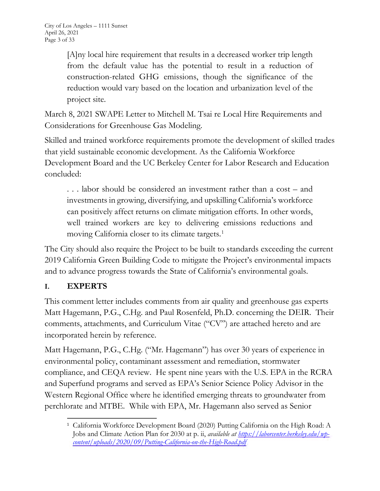[A]ny local hire requirement that results in a decreased worker trip length from the default value has the potential to result in a reduction of construction-related GHG emissions, though the significance of the reduction would vary based on the location and urbanization level of the project site.

March 8, 2021 SWAPE Letter to Mitchell M. Tsai re Local Hire Requirements and Considerations for Greenhouse Gas Modeling.

Skilled and trained workforce requirements promote the development of skilled trades that yield sustainable economic development. As the California Workforce Development Board and the UC Berkeley Center for Labor Research and Education concluded:

. . . labor should be considered an investment rather than a cost – and investments in growing, diversifying, and upskilling California's workforce can positively affect returns on climate mitigation efforts. In other words, well trained workers are key to delivering emissions reductions and moving California closer to its climate targets.<sup>1</sup>

The City should also require the Project to be built to standards exceeding the current 2019 California Green Building Code to mitigate the Project's environmental impacts and to advance progress towards the State of California's environmental goals.

# **I. EXPERTS**

This comment letter includes comments from air quality and greenhouse gas experts Matt Hagemann, P.G., C.Hg. and Paul Rosenfeld, Ph.D. concerning the DEIR. Their comments, attachments, and Curriculum Vitae ("CV") are attached hereto and are incorporated herein by reference.

Matt Hagemann, P.G., C.Hg. ("Mr. Hagemann") has over 30 years of experience in environmental policy, contaminant assessment and remediation, stormwater compliance, and CEQA review. He spent nine years with the U.S. EPA in the RCRA and Superfund programs and served as EPA's Senior Science Policy Advisor in the Western Regional Office where he identified emerging threats to groundwater from perchlorate and MTBE. While with EPA, Mr. Hagemann also served as Senior

<sup>&</sup>lt;sup>1</sup> California Workforce Development Board (2020) Putting California on the High Road: A Jobs and Climate Action Plan for 2030 at p. ii, *available at https://laborcenter.berkeley.edu/wpcontent/uploads/2020/09/Putting-California-on-the-High-Road.pdf*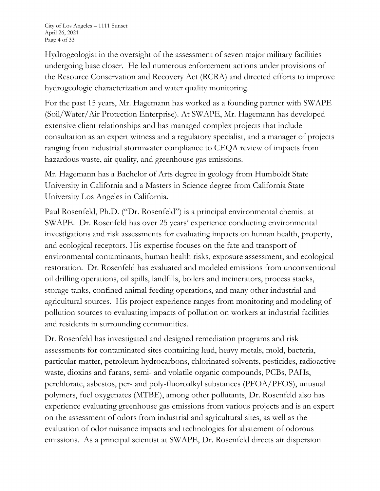Hydrogeologist in the oversight of the assessment of seven major military facilities undergoing base closer. He led numerous enforcement actions under provisions of the Resource Conservation and Recovery Act (RCRA) and directed efforts to improve hydrogeologic characterization and water quality monitoring.

For the past 15 years, Mr. Hagemann has worked as a founding partner with SWAPE (Soil/Water/Air Protection Enterprise). At SWAPE, Mr. Hagemann has developed extensive client relationships and has managed complex projects that include consultation as an expert witness and a regulatory specialist, and a manager of projects ranging from industrial stormwater compliance to CEQA review of impacts from hazardous waste, air quality, and greenhouse gas emissions.

Mr. Hagemann has a Bachelor of Arts degree in geology from Humboldt State University in California and a Masters in Science degree from California State University Los Angeles in California.

Paul Rosenfeld, Ph.D. ("Dr. Rosenfeld") is a principal environmental chemist at SWAPE. Dr. Rosenfeld has over 25 years' experience conducting environmental investigations and risk assessments for evaluating impacts on human health, property, and ecological receptors. His expertise focuses on the fate and transport of environmental contaminants, human health risks, exposure assessment, and ecological restoration. Dr. Rosenfeld has evaluated and modeled emissions from unconventional oil drilling operations, oil spills, landfills, boilers and incinerators, process stacks, storage tanks, confined animal feeding operations, and many other industrial and agricultural sources. His project experience ranges from monitoring and modeling of pollution sources to evaluating impacts of pollution on workers at industrial facilities and residents in surrounding communities.

Dr. Rosenfeld has investigated and designed remediation programs and risk assessments for contaminated sites containing lead, heavy metals, mold, bacteria, particular matter, petroleum hydrocarbons, chlorinated solvents, pesticides, radioactive waste, dioxins and furans, semi- and volatile organic compounds, PCBs, PAHs, perchlorate, asbestos, per- and poly-fluoroalkyl substances (PFOA/PFOS), unusual polymers, fuel oxygenates (MTBE), among other pollutants, Dr. Rosenfeld also has experience evaluating greenhouse gas emissions from various projects and is an expert on the assessment of odors from industrial and agricultural sites, as well as the evaluation of odor nuisance impacts and technologies for abatement of odorous emissions. As a principal scientist at SWAPE, Dr. Rosenfeld directs air dispersion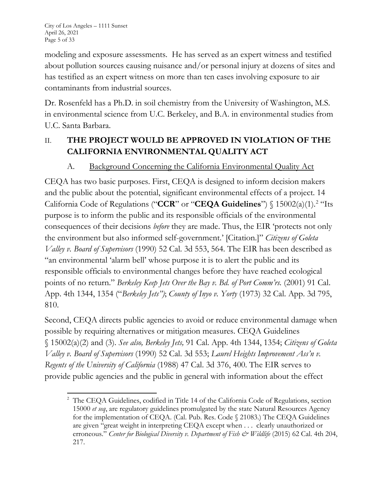modeling and exposure assessments. He has served as an expert witness and testified about pollution sources causing nuisance and/or personal injury at dozens of sites and has testified as an expert witness on more than ten cases involving exposure to air contaminants from industrial sources.

Dr. Rosenfeld has a Ph.D. in soil chemistry from the University of Washington, M.S. in environmental science from U.C. Berkeley, and B.A. in environmental studies from U.C. Santa Barbara.

# II. **THE PROJECT WOULD BE APPROVED IN VIOLATION OF THE CALIFORNIA ENVIRONMENTAL QUALITY ACT**

# A. Background Concerning the California Environmental Quality Act

CEQA has two basic purposes. First, CEQA is designed to inform decision makers and the public about the potential, significant environmental effects of a project. 14 California Code of Regulations ("**CCR**" or "**CEQA Guidelines**") § 15002(a)(1).2 "Its purpose is to inform the public and its responsible officials of the environmental consequences of their decisions *before* they are made. Thus, the EIR 'protects not only the environment but also informed self-government.' [Citation.]" *Citizens of Goleta Valley v. Board of Supervisors* (1990) 52 Cal. 3d 553, 564. The EIR has been described as "an environmental 'alarm bell' whose purpose it is to alert the public and its responsible officials to environmental changes before they have reached ecological points of no return." *Berkeley Keep Jets Over the Bay v. Bd. of Port Comm'rs.* (2001) 91 Cal. App. 4th 1344, 1354 ("*Berkeley Jets")*; *County of Inyo v. Yorty* (1973) 32 Cal. App. 3d 795, 810.

Second, CEQA directs public agencies to avoid or reduce environmental damage when possible by requiring alternatives or mitigation measures. CEQA Guidelines § 15002(a)(2) and (3). *See also, Berkeley Jets,* 91 Cal. App. 4th 1344, 1354; *Citizens of Goleta Valley v. Board of Supervisors* (1990) 52 Cal. 3d 553; *Laurel Heights Improvement Ass'n v. Regents of the University of California* (1988) 47 Cal. 3d 376, 400. The EIR serves to provide public agencies and the public in general with information about the effect

<sup>&</sup>lt;sup>2</sup> The CEQA Guidelines, codified in Title 14 of the California Code of Regulations, section 15000 *et seq*, are regulatory guidelines promulgated by the state Natural Resources Agency for the implementation of CEQA. (Cal. Pub. Res. Code § 21083.) The CEQA Guidelines are given "great weight in interpreting CEQA except when . . . clearly unauthorized or erroneous." *Center for Biological Diversity v. Department of Fish & Wildlife* (2015) 62 Cal. 4th 204, 217.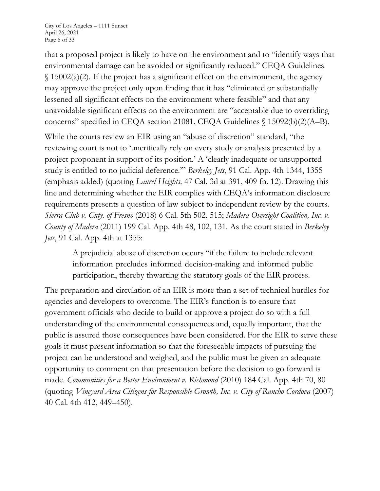that a proposed project is likely to have on the environment and to "identify ways that environmental damage can be avoided or significantly reduced." CEQA Guidelines  $\S$  15002(a)(2). If the project has a significant effect on the environment, the agency may approve the project only upon finding that it has "eliminated or substantially lessened all significant effects on the environment where feasible" and that any unavoidable significant effects on the environment are "acceptable due to overriding concerns" specified in CEQA section 21081. CEQA Guidelines § 15092(b)(2)(A–B).

While the courts review an EIR using an "abuse of discretion" standard, "the reviewing court is not to 'uncritically rely on every study or analysis presented by a project proponent in support of its position.' A 'clearly inadequate or unsupported study is entitled to no judicial deference.'" *Berkeley Jets*, 91 Cal. App. 4th 1344, 1355 (emphasis added) (quoting *Laurel Heights,* 47 Cal. 3d at 391, 409 fn. 12). Drawing this line and determining whether the EIR complies with CEQA's information disclosure requirements presents a question of law subject to independent review by the courts. *Sierra Club v. Cnty. of Fresno* (2018) 6 Cal. 5th 502, 515; *Madera Oversight Coalition, Inc. v. County of Madera* (2011) 199 Cal. App. 4th 48, 102, 131. As the court stated in *Berkeley Jets*, 91 Cal. App. 4th at 1355:

A prejudicial abuse of discretion occurs "if the failure to include relevant information precludes informed decision-making and informed public participation, thereby thwarting the statutory goals of the EIR process.

The preparation and circulation of an EIR is more than a set of technical hurdles for agencies and developers to overcome. The EIR's function is to ensure that government officials who decide to build or approve a project do so with a full understanding of the environmental consequences and, equally important, that the public is assured those consequences have been considered. For the EIR to serve these goals it must present information so that the foreseeable impacts of pursuing the project can be understood and weighed, and the public must be given an adequate opportunity to comment on that presentation before the decision to go forward is made. *Communities for a Better Environment v. Richmond* (2010) 184 Cal. App. 4th 70, 80 (quoting *Vineyard Area Citizens for Responsible Growth, Inc. v. City of Rancho Cordova* (2007) 40 Cal. 4th 412, 449–450).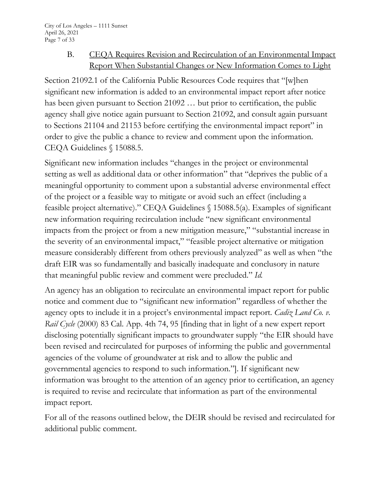## B. CEQA Requires Revision and Recirculation of an Environmental Impact Report When Substantial Changes or New Information Comes to Light

Section 21092.1 of the California Public Resources Code requires that "[w]hen significant new information is added to an environmental impact report after notice has been given pursuant to Section 21092 … but prior to certification, the public agency shall give notice again pursuant to Section 21092, and consult again pursuant to Sections 21104 and 21153 before certifying the environmental impact report" in order to give the public a chance to review and comment upon the information. CEQA Guidelines § 15088.5.

Significant new information includes "changes in the project or environmental setting as well as additional data or other information" that "deprives the public of a meaningful opportunity to comment upon a substantial adverse environmental effect of the project or a feasible way to mitigate or avoid such an effect (including a feasible project alternative)." CEQA Guidelines § 15088.5(a). Examples of significant new information requiring recirculation include "new significant environmental impacts from the project or from a new mitigation measure," "substantial increase in the severity of an environmental impact," "feasible project alternative or mitigation measure considerably different from others previously analyzed" as well as when "the draft EIR was so fundamentally and basically inadequate and conclusory in nature that meaningful public review and comment were precluded." *Id.*

An agency has an obligation to recirculate an environmental impact report for public notice and comment due to "significant new information" regardless of whether the agency opts to include it in a project's environmental impact report. *Cadiz Land Co. v. Rail Cycle* (2000) 83 Cal. App. 4th 74, 95 [finding that in light of a new expert report disclosing potentially significant impacts to groundwater supply "the EIR should have been revised and recirculated for purposes of informing the public and governmental agencies of the volume of groundwater at risk and to allow the public and governmental agencies to respond to such information."]. If significant new information was brought to the attention of an agency prior to certification, an agency is required to revise and recirculate that information as part of the environmental impact report.

For all of the reasons outlined below, the DEIR should be revised and recirculated for additional public comment.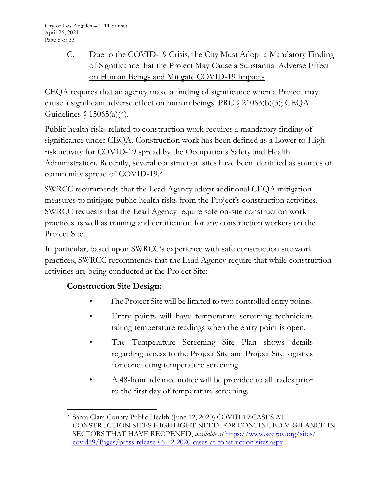C. Due to the COVID-19 Crisis, the City Must Adopt a Mandatory Finding of Significance that the Project May Cause a Substantial Adverse Effect on Human Beings and Mitigate COVID-19 Impacts

CEQA requires that an agency make a finding of significance when a Project may cause a significant adverse effect on human beings. PRC § 21083(b)(3); CEQA Guidelines § 15065(a)(4).

Public health risks related to construction work requires a mandatory finding of significance under CEQA. Construction work has been defined as a Lower to Highrisk activity for COVID-19 spread by the Occupations Safety and Health Administration. Recently, several construction sites have been identified as sources of community spread of COVID-19.3

SWRCC recommends that the Lead Agency adopt additional CEQA mitigation measures to mitigate public health risks from the Project's construction activities. SWRCC requests that the Lead Agency require safe on-site construction work practices as well as training and certification for any construction workers on the Project Site.

In particular, based upon SWRCC's experience with safe construction site work practices, SWRCC recommends that the Lead Agency require that while construction activities are being conducted at the Project Site:

# **Construction Site Design:**

- The Project Site will be limited to two controlled entry points.
- Entry points will have temperature screening technicians taking temperature readings when the entry point is open.
- The Temperature Screening Site Plan shows details regarding access to the Project Site and Project Site logistics for conducting temperature screening.
- A 48-hour advance notice will be provided to all trades prior to the first day of temperature screening.

<sup>3</sup> Santa Clara County Public Health (June 12, 2020) COVID-19 CASES AT CONSTRUCTION SITES HIGHLIGHT NEED FOR CONTINUED VIGILANCE IN SECTORS THAT HAVE REOPENED, *available at* https://www.sccgov.org/sites/ covid19/Pages/press-release-06-12-2020-cases-at-construction-sites.aspx.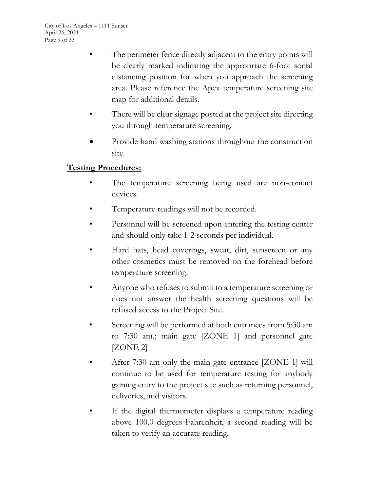- The perimeter fence directly adjacent to the entry points will be clearly marked indicating the appropriate 6-foot social distancing position for when you approach the screening area. Please reference the Apex temperature screening site map for additional details.
- There will be clear signage posted at the project site directing you through temperature screening.
- Provide hand washing stations throughout the construction site.

## **Testing Procedures:**

- The temperature screening being used are non-contact devices.
- Temperature readings will not be recorded.
- Personnel will be screened upon entering the testing center and should only take 1-2 seconds per individual.
- Hard hats, head coverings, sweat, dirt, sunscreen or any other cosmetics must be removed on the forehead before temperature screening.
- Anyone who refuses to submit to a temperature screening or does not answer the health screening questions will be refused access to the Project Site.
- Screening will be performed at both entrances from 5:30 am to 7:30 am.; main gate [ZONE 1] and personnel gate [ZONE 2]
- After 7:30 am only the main gate entrance [ZONE 1] will continue to be used for temperature testing for anybody gaining entry to the project site such as returning personnel, deliveries, and visitors.
- If the digital thermometer displays a temperature reading above 100.0 degrees Fahrenheit, a second reading will be taken to verify an accurate reading.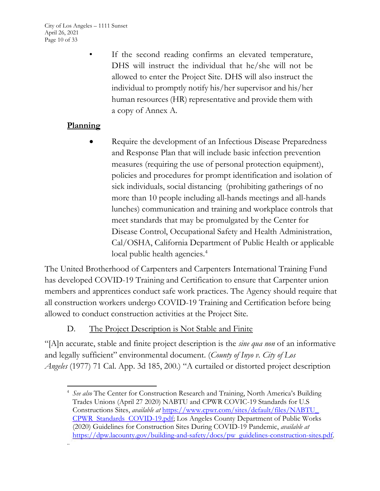City of Los Angeles – 1111 Sunset April 26, 2021 Page 10 of 33

> If the second reading confirms an elevated temperature, DHS will instruct the individual that he/she will not be allowed to enter the Project Site. DHS will also instruct the individual to promptly notify his/her supervisor and his/her human resources (HR) representative and provide them with a copy of Annex A.

# **Planning**

Require the development of an Infectious Disease Preparedness and Response Plan that will include basic infection prevention measures (requiring the use of personal protection equipment), policies and procedures for prompt identification and isolation of sick individuals, social distancing (prohibiting gatherings of no more than 10 people including all-hands meetings and all-hands lunches) communication and training and workplace controls that meet standards that may be promulgated by the Center for Disease Control, Occupational Safety and Health Administration, Cal/OSHA, California Department of Public Health or applicable local public health agencies.<sup>4</sup>

The United Brotherhood of Carpenters and Carpenters International Training Fund has developed COVID-19 Training and Certification to ensure that Carpenter union members and apprentices conduct safe work practices. The Agency should require that all construction workers undergo COVID-19 Training and Certification before being allowed to conduct construction activities at the Project Site.

## D. The Project Description is Not Stable and Finite

"[A]n accurate, stable and finite project description is the *sine qua non* of an informative and legally sufficient" environmental document. (*County of Inyo v. City of Los Angeles* (1977) 71 Cal. App. 3d 185, 200.) "A curtailed or distorted project description

<sup>4</sup> *See also* The Center for Construction Research and Training, North America's Building Trades Unions (April 27 2020) NABTU and CPWR COVIC-19 Standards for U.S Constructions Sites, *available at* https://www.cpwr.com/sites/default/files/NABTU\_ CPWR Standards COVID-19.pdf; Los Angeles County Department of Public Works (2020) Guidelines for Construction Sites During COVID-19 Pandemic, *available at*  https://dpw.lacounty.gov/building-and-safety/docs/pw guidelines-construction-sites.pdf. ..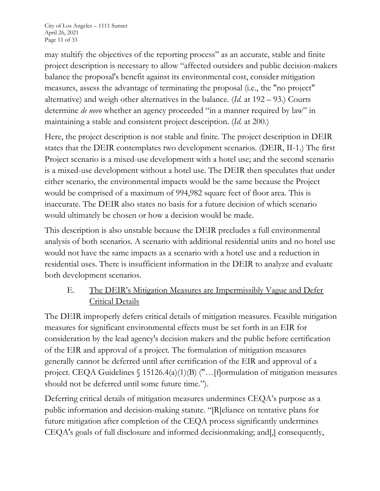may stultify the objectives of the reporting process" as an accurate, stable and finite project description is necessary to allow "affected outsiders and public decision-makers balance the proposal's benefit against its environmental cost, consider mitigation measures, assess the advantage of terminating the proposal (i.e., the "no project" alternative) and weigh other alternatives in the balance. (*Id.* at 192 – 93.) Courts determine *de novo* whether an agency proceeded "in a manner required by law" in maintaining a stable and consistent project description. (*Id.* at 200.)

Here, the project description is not stable and finite. The project description in DEIR states that the DEIR contemplates two development scenarios. (DEIR, II-1.) The first Project scenario is a mixed-use development with a hotel use; and the second scenario is a mixed-use development without a hotel use. The DEIR then speculates that under either scenario, the environmental impacts would be the same because the Project would be comprised of a maximum of 994,982 square feet of floor area. This is inaccurate. The DEIR also states no basis for a future decision of which scenario would ultimately be chosen or how a decision would be made.

This description is also unstable because the DEIR precludes a full environmental analysis of both scenarios. A scenario with additional residential units and no hotel use would not have the same impacts as a scenario with a hotel use and a reduction in residential uses. There is insufficient information in the DEIR to analyze and evaluate both development scenarios.

# E. The DEIR's Mitigation Measures are Impermissibly Vague and Defer Critical Details

The DEIR improperly defers critical details of mitigation measures. Feasible mitigation measures for significant environmental effects must be set forth in an EIR for consideration by the lead agency's decision makers and the public before certification of the EIR and approval of a project. The formulation of mitigation measures generally cannot be deferred until after certification of the EIR and approval of a project. CEQA Guidelines § 15126.4(a)(1)(B) ("…[f]ormulation of mitigation measures should not be deferred until some future time.").

Deferring critical details of mitigation measures undermines CEQA's purpose as a public information and decision-making statute. "[R]eliance on tentative plans for future mitigation after completion of the CEQA process significantly undermines CEQA's goals of full disclosure and informed decisionmaking; and[,] consequently,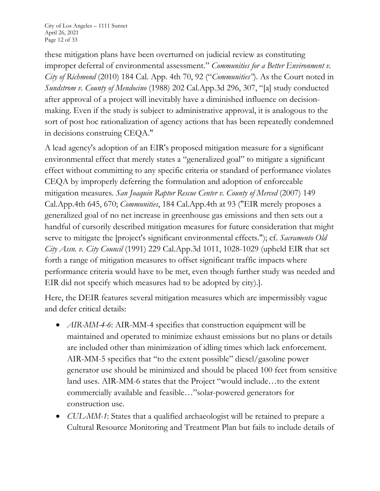City of Los Angeles – 1111 Sunset April 26, 2021 Page 12 of 33

these mitigation plans have been overturned on judicial review as constituting improper deferral of environmental assessment." *Communities for a Better Environment v. City of Richmond* (2010) 184 Cal. App. 4th 70, 92 ("*Communities"*). As the Court noted in *Sundstrom v. County of Mendocino* (1988) 202 Cal.App.3d 296, 307, "[a] study conducted after approval of a project will inevitably have a diminished influence on decisionmaking. Even if the study is subject to administrative approval, it is analogous to the sort of post hoc rationalization of agency actions that has been repeatedly condemned in decisions construing CEQA."

A lead agency's adoption of an EIR's proposed mitigation measure for a significant environmental effect that merely states a "generalized goal" to mitigate a significant effect without committing to any specific criteria or standard of performance violates CEQA by improperly deferring the formulation and adoption of enforceable mitigation measures. *San Joaquin Raptor Rescue Center v. County of Merced* (2007) 149 Cal.App.4th 645, 670; *Communities*, 184 Cal.App.4th at 93 ("EIR merely proposes a generalized goal of no net increase in greenhouse gas emissions and then sets out a handful of cursorily described mitigation measures for future consideration that might serve to mitigate the [project's significant environmental effects."); cf. *Sacramento Old City Assn. v. City Council* (1991) 229 Cal.App.3d 1011, 1028-1029 (upheld EIR that set forth a range of mitigation measures to offset significant traffic impacts where performance criteria would have to be met, even though further study was needed and EIR did not specify which measures had to be adopted by city).].

Here, the DEIR features several mitigation measures which are impermissibly vague and defer critical details:

- *AIR-MM-4-6*: AIR-MM-4 specifies that construction equipment will be maintained and operated to minimize exhaust emissions but no plans or details are included other than minimization of idling times which lack enforcement. AIR-MM-5 specifies that "to the extent possible" diesel/gasoline power generator use should be minimized and should be placed 100 feet from sensitive land uses. AIR-MM-6 states that the Project "would include…to the extent commercially available and feasible…"solar-powered generators for construction use.
- x *CUL-MM-1*: States that a qualified archaeologist will be retained to prepare a Cultural Resource Monitoring and Treatment Plan but fails to include details of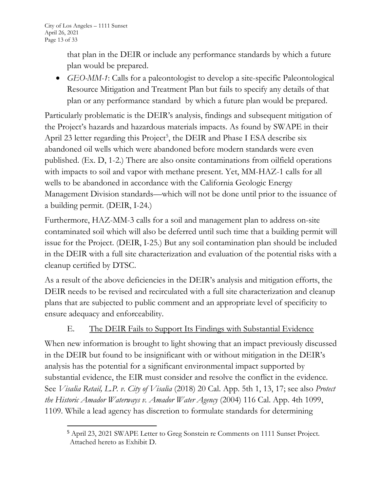that plan in the DEIR or include any performance standards by which a future plan would be prepared.

• *GEO-MM-1*: Calls for a paleontologist to develop a site-specific Paleontological Resource Mitigation and Treatment Plan but fails to specify any details of that plan or any performance standard by which a future plan would be prepared.

Particularly problematic is the DEIR's analysis, findings and subsequent mitigation of the Project's hazards and hazardous materials impacts. As found by SWAPE in their April 23 letter regarding this Project<sup>5</sup>, the DEIR and Phase I ESA describe six abandoned oil wells which were abandoned before modern standards were even published. (Ex. D, 1-2.) There are also onsite contaminations from oilfield operations with impacts to soil and vapor with methane present. Yet, MM-HAZ-1 calls for all wells to be abandoned in accordance with the California Geologic Energy Management Division standards—which will not be done until prior to the issuance of a building permit. (DEIR, I-24.)

Furthermore, HAZ-MM-3 calls for a soil and management plan to address on-site contaminated soil which will also be deferred until such time that a building permit will issue for the Project. (DEIR, I-25.) But any soil contamination plan should be included in the DEIR with a full site characterization and evaluation of the potential risks with a cleanup certified by DTSC.

As a result of the above deficiencies in the DEIR's analysis and mitigation efforts, the DEIR needs to be revised and recirculated with a full site characterization and cleanup plans that are subjected to public comment and an appropriate level of specificity to ensure adequacy and enforceability.

## E. The DEIR Fails to Support Its Findings with Substantial Evidence

When new information is brought to light showing that an impact previously discussed in the DEIR but found to be insignificant with or without mitigation in the DEIR's analysis has the potential for a significant environmental impact supported by substantial evidence, the EIR must consider and resolve the conflict in the evidence. See *Visalia Retail, L.P. v. City of Visalia* (2018) 20 Cal. App. 5th 1, 13, 17; see also *Protect the Historic Amador Waterways v. Amador Water Agency* (2004) 116 Cal. App. 4th 1099, 1109. While a lead agency has discretion to formulate standards for determining

<sup>5</sup> April 23, 2021 SWAPE Letter to Greg Sonstein re Comments on 1111 Sunset Project. Attached hereto as Exhibit D.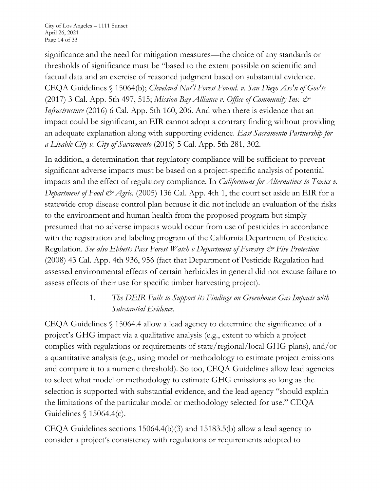City of Los Angeles – 1111 Sunset April 26, 2021 Page 14 of 33

significance and the need for mitigation measures—the choice of any standards or thresholds of significance must be "based to the extent possible on scientific and factual data and an exercise of reasoned judgment based on substantial evidence. CEQA Guidelines § 15064(b); *Cleveland Nat'l Forest Found. v. San Diego Ass'n of Gov'ts* (2017) 3 Cal. App. 5th 497, 515; *Mission Bay Alliance v. Office of Community Inv. & Infrastructure* (2016) 6 Cal. App. 5th 160, 206. And when there is evidence that an impact could be significant, an EIR cannot adopt a contrary finding without providing an adequate explanation along with supporting evidence*. East Sacramento Partnership for a Livable City v. City of Sacramento* (2016) 5 Cal. App. 5th 281, 302.

In addition, a determination that regulatory compliance will be sufficient to prevent significant adverse impacts must be based on a project-specific analysis of potential impacts and the effect of regulatory compliance. In *Californians for Alternatives to Toxics v. Department of Food & Agric.* (2005) 136 Cal. App. 4th 1, the court set aside an EIR for a statewide crop disease control plan because it did not include an evaluation of the risks to the environment and human health from the proposed program but simply presumed that no adverse impacts would occur from use of pesticides in accordance with the registration and labeling program of the California Department of Pesticide Regulation. *See also Ebbetts Pass Forest Watch v Department of Forestry & Fire Protection* (2008) 43 Cal. App. 4th 936, 956 (fact that Department of Pesticide Regulation had assessed environmental effects of certain herbicides in general did not excuse failure to assess effects of their use for specific timber harvesting project).

## 1. *The DEIR Fails to Support its Findings on Greenhouse Gas Impacts with Substantial Evidence.*

CEQA Guidelines § 15064.4 allow a lead agency to determine the significance of a project's GHG impact via a qualitative analysis (e.g., extent to which a project complies with regulations or requirements of state/regional/local GHG plans), and/or a quantitative analysis (e.g., using model or methodology to estimate project emissions and compare it to a numeric threshold). So too, CEQA Guidelines allow lead agencies to select what model or methodology to estimate GHG emissions so long as the selection is supported with substantial evidence, and the lead agency "should explain the limitations of the particular model or methodology selected for use." CEQA Guidelines § 15064.4(c).

CEQA Guidelines sections 15064.4(b)(3) and 15183.5(b) allow a lead agency to consider a project's consistency with regulations or requirements adopted to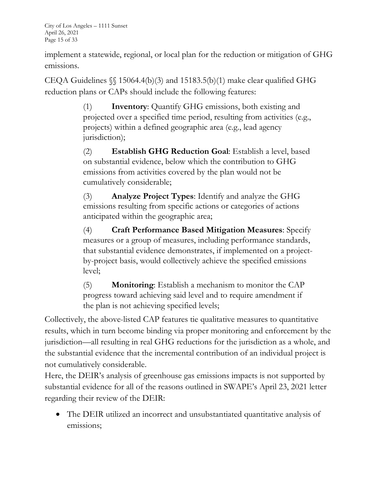City of Los Angeles – 1111 Sunset April 26, 2021 Page 15 of 33

implement a statewide, regional, or local plan for the reduction or mitigation of GHG emissions.

CEQA Guidelines  $\{\$ 15064.4(b)(3) \text{ and } 15183.5(b)(1) \text{ make clear qualified GHG}$ reduction plans or CAPs should include the following features:

> (1) **Inventory**: Quantify GHG emissions, both existing and projected over a specified time period, resulting from activities (e.g., projects) within a defined geographic area (e.g., lead agency jurisdiction);

> (2) **Establish GHG Reduction Goal**: Establish a level, based on substantial evidence, below which the contribution to GHG emissions from activities covered by the plan would not be cumulatively considerable;

(3) **Analyze Project Types**: Identify and analyze the GHG emissions resulting from specific actions or categories of actions anticipated within the geographic area;

(4) **Craft Performance Based Mitigation Measures**: Specify measures or a group of measures, including performance standards, that substantial evidence demonstrates, if implemented on a projectby-project basis, would collectively achieve the specified emissions level;

(5) **Monitoring**: Establish a mechanism to monitor the CAP progress toward achieving said level and to require amendment if the plan is not achieving specified levels;

Collectively, the above-listed CAP features tie qualitative measures to quantitative results, which in turn become binding via proper monitoring and enforcement by the jurisdiction—all resulting in real GHG reductions for the jurisdiction as a whole, and the substantial evidence that the incremental contribution of an individual project is not cumulatively considerable.

Here, the DEIR's analysis of greenhouse gas emissions impacts is not supported by substantial evidence for all of the reasons outlined in SWAPE's April 23, 2021 letter regarding their review of the DEIR:

• The DEIR utilized an incorrect and unsubstantiated quantitative analysis of emissions;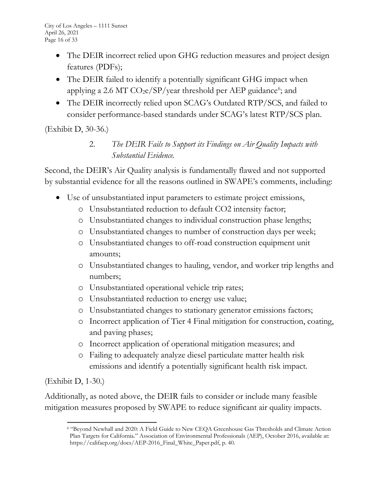- The DEIR incorrect relied upon GHG reduction measures and project design features (PDFs);
- The DEIR failed to identify a potentially significant GHG impact when applying a 2.6 MT CO<sub>2</sub>e/SP/year threshold per AEP guidance<sup>6</sup>; and
- The DEIR incorrectly relied upon SCAG's Outdated RTP/SCS, and failed to consider performance-based standards under SCAG's latest RTP/SCS plan.

(Exhibit D, 30-36.)

2. *The DEIR Fails to Support its Findings on Air Quality Impacts with Substantial Evidence.*

Second, the DEIR's Air Quality analysis is fundamentally flawed and not supported by substantial evidence for all the reasons outlined in SWAPE's comments, including:

- Use of unsubstantiated input parameters to estimate project emissions,
	- o Unsubstantiated reduction to default CO2 intensity factor;
	- o Unsubstantiated changes to individual construction phase lengths;
	- o Unsubstantiated changes to number of construction days per week;
	- o Unsubstantiated changes to off-road construction equipment unit amounts;
	- o Unsubstantiated changes to hauling, vendor, and worker trip lengths and numbers;
	- o Unsubstantiated operational vehicle trip rates;
	- o Unsubstantiated reduction to energy use value;
	- o Unsubstantiated changes to stationary generator emissions factors;
	- o Incorrect application of Tier 4 Final mitigation for construction, coating, and paving phases;
	- o Incorrect application of operational mitigation measures; and
	- o Failing to adequately analyze diesel particulate matter health risk emissions and identify a potentially significant health risk impact.

(Exhibit D, 1-30.)

Additionally, as noted above, the DEIR fails to consider or include many feasible mitigation measures proposed by SWAPE to reduce significant air quality impacts.

<sup>6 &</sup>quot;Beyond Newhall and 2020: A Field Guide to New CEQA Greenhouse Gas Thresholds and Climate Action Plan Targets for California." Association of Environmental Professionals (AEP), October 2016, available at: https://califaep.org/docs/AEP-2016\_Final\_White\_Paper.pdf, p. 40.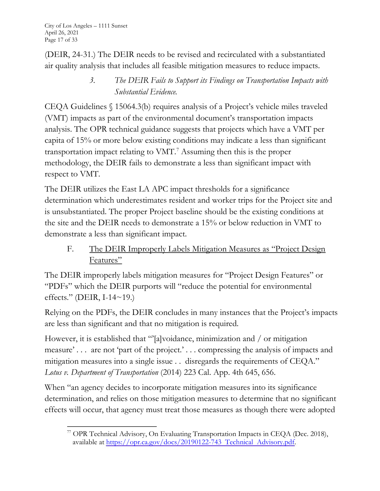City of Los Angeles – 1111 Sunset April 26, 2021 Page 17 of 33

(DEIR, 24-31.) The DEIR needs to be revised and recirculated with a substantiated air quality analysis that includes all feasible mitigation measures to reduce impacts.

> *3. The DEIR Fails to Support its Findings on Transportation Impacts with Substantial Evidence.*

CEQA Guidelines § 15064.3(b) requires analysis of a Project's vehicle miles traveled (VMT) impacts as part of the environmental document's transportation impacts analysis. The OPR technical guidance suggests that projects which have a VMT per capita of 15% or more below existing conditions may indicate a less than significant transportation impact relating to VMT.7 Assuming then this is the proper methodology, the DEIR fails to demonstrate a less than significant impact with respect to VMT.

The DEIR utilizes the East LA APC impact thresholds for a significance determination which underestimates resident and worker trips for the Project site and is unsubstantiated. The proper Project baseline should be the existing conditions at the site and the DEIR needs to demonstrate a 15% or below reduction in VMT to demonstrate a less than significant impact.

F. The DEIR Improperly Labels Mitigation Measures as "Project Design Features"

The DEIR improperly labels mitigation measures for "Project Design Features" or "PDFs" which the DEIR purports will "reduce the potential for environmental effects." (DEIR, I-14 $\sim$ 19.)

Relying on the PDFs, the DEIR concludes in many instances that the Project's impacts are less than significant and that no mitigation is required.

However, it is established that "[a]voidance, minimization and / or mitigation measure' . . . are not 'part of the project.' . . . compressing the analysis of impacts and mitigation measures into a single issue . . disregards the requirements of CEQA." *Lotus v. Department of Transportation* (2014) 223 Cal. App. 4th 645, 656.

When "an agency decides to incorporate mitigation measures into its significance determination, and relies on those mitigation measures to determine that no significant effects will occur, that agency must treat those measures as though there were adopted

<sup>77</sup> OPR Technical Advisory, On Evaluating Transportation Impacts in CEQA (Dec. 2018), available at https://opr.ca.gov/docs/20190122-743 Technical Advisory.pdf.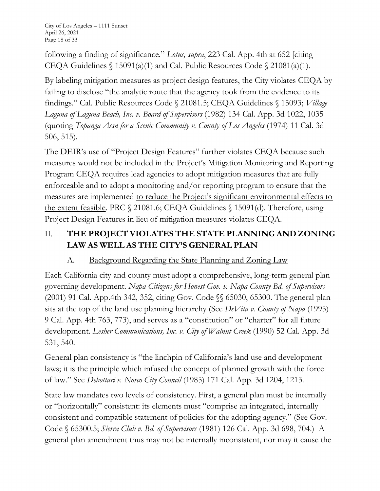following a finding of significance." *Lotus, supra*, 223 Cal. App. 4th at 652 [citing CEQA Guidelines  $\int$  15091(a)(1) and Cal. Public Resources Code  $\int$  21081(a)(1).

By labeling mitigation measures as project design features, the City violates CEQA by failing to disclose "the analytic route that the agency took from the evidence to its findings." Cal. Public Resources Code § 21081.5; CEQA Guidelines § 15093; *Village Laguna of Laguna Beach, Inc. v. Board of Supervisors* (1982) 134 Cal. App. 3d 1022, 1035 (quoting *Topanga Assn for a Scenic Community v. County of Los Angeles* (1974) 11 Cal. 3d 506, 515).

The DEIR's use of "Project Design Features" further violates CEQA because such measures would not be included in the Project's Mitigation Monitoring and Reporting Program CEQA requires lead agencies to adopt mitigation measures that are fully enforceable and to adopt a monitoring and/or reporting program to ensure that the measures are implemented to reduce the Project's significant environmental effects to the extent feasible. PRC § 21081.6; CEQA Guidelines § 15091(d). Therefore, using Project Design Features in lieu of mitigation measures violates CEQA.

# II. **THE PROJECT VIOLATES THE STATE PLANNING AND ZONING LAW AS WELL AS THE CITY'S GENERAL PLAN**

# A. Background Regarding the State Planning and Zoning Law

Each California city and county must adopt a comprehensive, long-term general plan governing development. *Napa Citizens for Honest Gov. v. Napa County Bd. of Supervisors* (2001) 91 Cal. App.4th 342, 352, citing Gov. Code §§ 65030, 65300. The general plan sits at the top of the land use planning hierarchy (See *DeVita v. County of Napa* (1995) 9 Cal. App. 4th 763, 773), and serves as a "constitution" or "charter" for all future development. *Lesher Communications, Inc. v. City of Walnut Creek* (1990) 52 Cal. App. 3d 531, 540.

General plan consistency is "the linchpin of California's land use and development laws; it is the principle which infused the concept of planned growth with the force of law." See *Debottari v. Norco City Council* (1985) 171 Cal. App. 3d 1204, 1213.

State law mandates two levels of consistency. First, a general plan must be internally or "horizontally" consistent: its elements must "comprise an integrated, internally consistent and compatible statement of policies for the adopting agency." (See Gov. Code § 65300.5; *Sierra Club v. Bd. of Supervisors* (1981) 126 Cal. App. 3d 698, 704.) A general plan amendment thus may not be internally inconsistent, nor may it cause the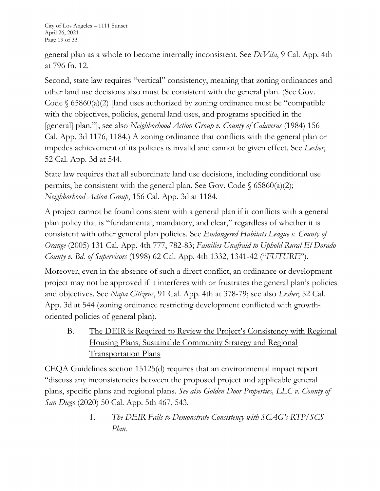City of Los Angeles – 1111 Sunset April 26, 2021 Page 19 of 33

general plan as a whole to become internally inconsistent. See *DeVita*, 9 Cal. App. 4th at 796 fn. 12.

Second, state law requires "vertical" consistency, meaning that zoning ordinances and other land use decisions also must be consistent with the general plan. (See Gov. Code  $\S$  65860(a)(2) [land uses authorized by zoning ordinance must be "compatible" with the objectives, policies, general land uses, and programs specified in the [general] plan."]; see also *Neighborhood Action Group v. County of Calaveras* (1984) 156 Cal. App. 3d 1176, 1184.) A zoning ordinance that conflicts with the general plan or impedes achievement of its policies is invalid and cannot be given effect. See *Lesher*, 52 Cal. App. 3d at 544.

State law requires that all subordinate land use decisions, including conditional use permits, be consistent with the general plan. See Gov. Code  $\S$  65860(a)(2); *Neighborhood Action Group*, 156 Cal. App. 3d at 1184.

A project cannot be found consistent with a general plan if it conflicts with a general plan policy that is "fundamental, mandatory, and clear," regardless of whether it is consistent with other general plan policies. See *Endangered Habitats League v. County of Orange* (2005) 131 Cal. App. 4th 777, 782-83; *Families Unafraid to Uphold Rural El Dorado County v. Bd. of Supervisors* (1998) 62 Cal. App. 4th 1332, 1341-42 ("*FUTURE*").

Moreover, even in the absence of such a direct conflict, an ordinance or development project may not be approved if it interferes with or frustrates the general plan's policies and objectives. See *Napa Citizens*, 91 Cal. App. 4th at 378-79; see also *Lesher*, 52 Cal. App. 3d at 544 (zoning ordinance restricting development conflicted with growthoriented policies of general plan).

B. The DEIR is Required to Review the Project's Consistency with Regional Housing Plans, Sustainable Community Strategy and Regional Transportation Plans

CEQA Guidelines section 15125(d) requires that an environmental impact report "discuss any inconsistencies between the proposed project and applicable general plans, specific plans and regional plans. *See also Golden Door Properties, LLC v. County of San Diego* (2020) 50 Cal. App. 5th 467, 543.

> 1. *The DEIR Fails to Demonstrate Consistency with SCAG's RTP/SCS Plan.*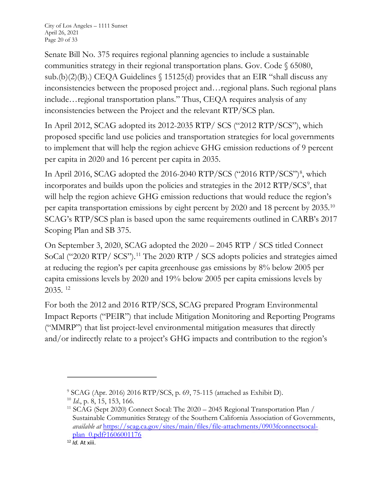Senate Bill No. 375 requires regional planning agencies to include a sustainable communities strategy in their regional transportation plans. Gov. Code § 65080, sub.(b)(2)(B).) CEQA Guidelines § 15125(d) provides that an EIR "shall discuss any inconsistencies between the proposed project and…regional plans. Such regional plans include…regional transportation plans." Thus, CEQA requires analysis of any inconsistencies between the Project and the relevant RTP/SCS plan.

In April 2012, SCAG adopted its 2012-2035 RTP/ SCS ("2012 RTP/SCS"), which proposed specific land use policies and transportation strategies for local governments to implement that will help the region achieve GHG emission reductions of 9 percent per capita in 2020 and 16 percent per capita in 2035.

In April 2016, SCAG adopted the 2016-2040 RTP/SCS ("2016 RTP/SCS")<sup>8</sup>, which incorporates and builds upon the policies and strategies in the 2012 RTP/SCS<sup>9</sup>, that will help the region achieve GHG emission reductions that would reduce the region's per capita transportation emissions by eight percent by 2020 and 18 percent by 2035.10 SCAG's RTP/SCS plan is based upon the same requirements outlined in CARB's 2017 Scoping Plan and SB 375.

On September 3, 2020, SCAG adopted the 2020 – 2045 RTP / SCS titled Connect SoCal ("2020 RTP/ SCS").11 The 2020 RTP / SCS adopts policies and strategies aimed at reducing the region's per capita greenhouse gas emissions by 8% below 2005 per capita emissions levels by 2020 and 19% below 2005 per capita emissions levels by 2035. 12

For both the 2012 and 2016 RTP/SCS, SCAG prepared Program Environmental Impact Reports ("PEIR") that include Mitigation Monitoring and Reporting Programs ("MMRP") that list project-level environmental mitigation measures that directly and/or indirectly relate to a project's GHG impacts and contribution to the region's

<sup>9</sup> SCAG (Apr. 2016) 2016 RTP/SCS, p. 69, 75-115 (attached as Exhibit D).

<sup>&</sup>lt;sup>10</sup> *Id.*, p. 8, 15, 153, 166.<br><sup>11</sup> SCAG (Sept 2020) Connect Socal: The 2020 – 2045 Regional Transportation Plan / Sustainable Communities Strategy of the Southern California Association of Governments, *available at* https://scag.ca.gov/sites/main/files/file-attachments/0903fconnectsocalplan 0.pdf?1606001176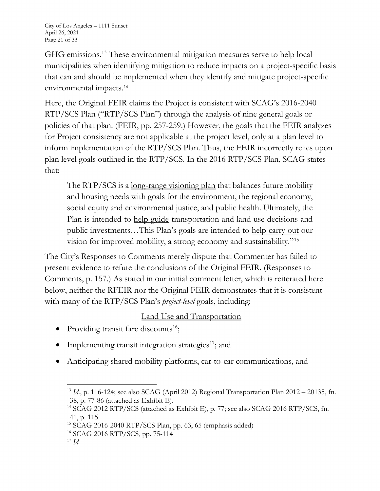GHG emissions.13 These environmental mitigation measures serve to help local municipalities when identifying mitigation to reduce impacts on a project-specific basis that can and should be implemented when they identify and mitigate project-specific environmental impacts.<sup>14</sup>

Here, the Original FEIR claims the Project is consistent with SCAG's 2016-2040 RTP/SCS Plan ("RTP/SCS Plan") through the analysis of nine general goals or policies of that plan. (FEIR, pp. 257-259.) However, the goals that the FEIR analyzes for Project consistency are not applicable at the project level, only at a plan level to inform implementation of the RTP/SCS Plan. Thus, the FEIR incorrectly relies upon plan level goals outlined in the RTP/SCS. In the 2016 RTP/SCS Plan, SCAG states that:

The RTP/SCS is a long-range visioning plan that balances future mobility and housing needs with goals for the environment, the regional economy, social equity and environmental justice, and public health. Ultimately, the Plan is intended to help guide transportation and land use decisions and public investments…This Plan's goals are intended to help carry out our vision for improved mobility, a strong economy and sustainability."15

The City's Responses to Comments merely dispute that Commenter has failed to present evidence to refute the conclusions of the Original FEIR. (Responses to Comments, p. 157.) As stated in our initial comment letter, which is reiterated here below, neither the RFEIR nor the Original FEIR demonstrates that it is consistent with many of the RTP/SCS Plan's *project-level* goals, including:

# Land Use and Transportation

- Providing transit fare discounts<sup>16</sup>;
- Implementing transit integration strategies<sup>17</sup>; and
- Anticipating shared mobility platforms, car-to-car communications, and

16 SCAG 2016 RTP/SCS, pp. 75-114

<sup>13</sup> *Id*., p. 116-124; see also SCAG (April 2012) Regional Transportation Plan 2012 – 20135, fn. 38, p. 77-86 (attached as Exhibit E).

<sup>&</sup>lt;sup>14</sup> SCAG 2012 RTP/SCS (attached as Exhibit E), p. 77; see also SCAG 2016 RTP/SCS, fn. 41, p. 115.

 $15$  SCAG 2016-2040 RTP/SCS Plan, pp. 63, 65 (emphasis added)

<sup>17</sup> *Id.*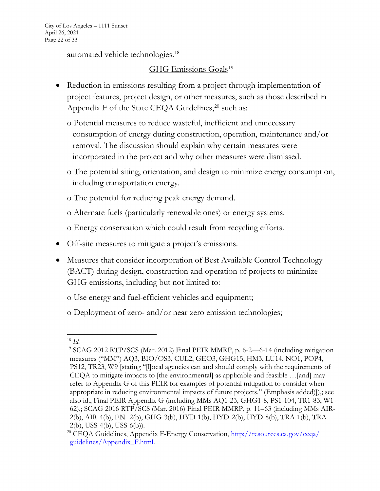City of Los Angeles – 1111 Sunset April 26, 2021 Page 22 of 33

automated vehicle technologies.18

## GHG Emissions Goals<sup>19</sup>

- Reduction in emissions resulting from a project through implementation of project features, project design, or other measures, such as those described in Appendix F of the State CEQA Guidelines,<sup>20</sup> such as:
	- o Potential measures to reduce wasteful, inefficient and unnecessary consumption of energy during construction, operation, maintenance and/or removal. The discussion should explain why certain measures were incorporated in the project and why other measures were dismissed.
	- o The potential siting, orientation, and design to minimize energy consumption, including transportation energy.
	- o The potential for reducing peak energy demand.
	- o Alternate fuels (particularly renewable ones) or energy systems.
	- o Energy conservation which could result from recycling efforts.
- Off-site measures to mitigate a project's emissions.
- Measures that consider incorporation of Best Available Control Technology (BACT) during design, construction and operation of projects to minimize GHG emissions, including but not limited to:
	- o Use energy and fuel-efficient vehicles and equipment;
	- o Deployment of zero- and/or near zero emission technologies;

<sup>18</sup> *Id.*

<sup>&</sup>lt;sup>19</sup> SCAG 2012 RTP/SCS (Mar. 2012) Final PEIR MMRP, p. 6-2—6-14 (including mitigation measures ("MM") AQ3, BIO/OS3, CUL2, GEO3, GHG15, HM3, LU14, NO1, POP4, PS12, TR23, W9 [stating "[l]ocal agencies can and should comply with the requirements of CEQA to mitigate impacts to [the environmental] as applicable and feasible …[and] may refer to Appendix G of this PEIR for examples of potential mitigation to consider when appropriate in reducing environmental impacts of future projects." (Emphasis added)]),; see also id., Final PEIR Appendix G (including MMs AQ1-23, GHG1-8, PS1-104, TR1-83, W1- 62),; SCAG 2016 RTP/SCS (Mar. 2016) Final PEIR MMRP, p. 11–63 (including MMs AIR-2(b), AIR-4(b), EN- 2(b), GHG-3(b), HYD-1(b), HYD-2(b), HYD-8(b), TRA-1(b), TRA-2(b), USS-4(b), USS-6(b)).

<sup>&</sup>lt;sup>20</sup> CEQA Guidelines, Appendix F-Energy Conservation, http://resources.ca.gov/ceqa/ guidelines/Appendix\_F.html.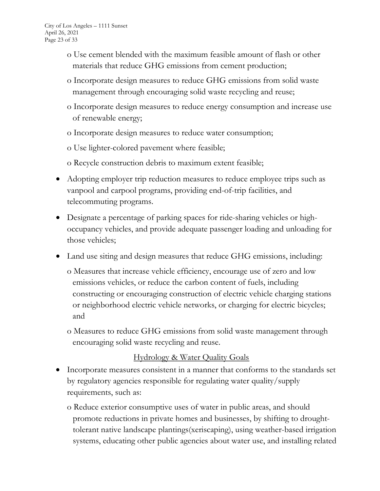- o Use cement blended with the maximum feasible amount of flash or other materials that reduce GHG emissions from cement production;
- o Incorporate design measures to reduce GHG emissions from solid waste management through encouraging solid waste recycling and reuse;
- o Incorporate design measures to reduce energy consumption and increase use of renewable energy;
- o Incorporate design measures to reduce water consumption;

o Use lighter-colored pavement where feasible;

o Recycle construction debris to maximum extent feasible;

- Adopting employer trip reduction measures to reduce employee trips such as vanpool and carpool programs, providing end-of-trip facilities, and telecommuting programs.
- Designate a percentage of parking spaces for ride-sharing vehicles or highoccupancy vehicles, and provide adequate passenger loading and unloading for those vehicles;
- Land use siting and design measures that reduce GHG emissions, including:
	- o Measures that increase vehicle efficiency, encourage use of zero and low emissions vehicles, or reduce the carbon content of fuels, including constructing or encouraging construction of electric vehicle charging stations or neighborhood electric vehicle networks, or charging for electric bicycles; and
	- o Measures to reduce GHG emissions from solid waste management through encouraging solid waste recycling and reuse.

### Hydrology & Water Quality Goals

- Incorporate measures consistent in a manner that conforms to the standards set by regulatory agencies responsible for regulating water quality/supply requirements, such as:
	- o Reduce exterior consumptive uses of water in public areas, and should promote reductions in private homes and businesses, by shifting to droughttolerant native landscape plantings(xeriscaping), using weather-based irrigation systems, educating other public agencies about water use, and installing related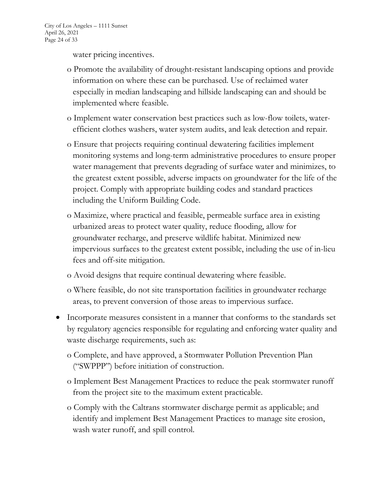water pricing incentives.

- o Promote the availability of drought-resistant landscaping options and provide information on where these can be purchased. Use of reclaimed water especially in median landscaping and hillside landscaping can and should be implemented where feasible.
- o Implement water conservation best practices such as low-flow toilets, waterefficient clothes washers, water system audits, and leak detection and repair.
- o Ensure that projects requiring continual dewatering facilities implement monitoring systems and long-term administrative procedures to ensure proper water management that prevents degrading of surface water and minimizes, to the greatest extent possible, adverse impacts on groundwater for the life of the project. Comply with appropriate building codes and standard practices including the Uniform Building Code.
- o Maximize, where practical and feasible, permeable surface area in existing urbanized areas to protect water quality, reduce flooding, allow for groundwater recharge, and preserve wildlife habitat. Minimized new impervious surfaces to the greatest extent possible, including the use of in-lieu fees and off-site mitigation.
- o Avoid designs that require continual dewatering where feasible.
- o Where feasible, do not site transportation facilities in groundwater recharge areas, to prevent conversion of those areas to impervious surface.
- Incorporate measures consistent in a manner that conforms to the standards set by regulatory agencies responsible for regulating and enforcing water quality and waste discharge requirements, such as:
	- o Complete, and have approved, a Stormwater Pollution Prevention Plan ("SWPPP") before initiation of construction.
	- o Implement Best Management Practices to reduce the peak stormwater runoff from the project site to the maximum extent practicable.
	- o Comply with the Caltrans stormwater discharge permit as applicable; and identify and implement Best Management Practices to manage site erosion, wash water runoff, and spill control.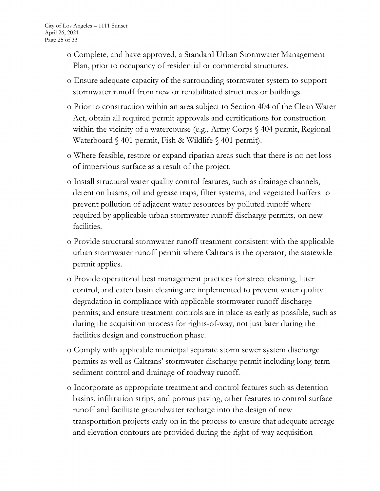- o Complete, and have approved, a Standard Urban Stormwater Management Plan, prior to occupancy of residential or commercial structures.
- o Ensure adequate capacity of the surrounding stormwater system to support stormwater runoff from new or rehabilitated structures or buildings.
- o Prior to construction within an area subject to Section 404 of the Clean Water Act, obtain all required permit approvals and certifications for construction within the vicinity of a watercourse (e.g., Army Corps § 404 permit, Regional Waterboard § 401 permit, Fish & Wildlife § 401 permit).
- o Where feasible, restore or expand riparian areas such that there is no net loss of impervious surface as a result of the project.
- o Install structural water quality control features, such as drainage channels, detention basins, oil and grease traps, filter systems, and vegetated buffers to prevent pollution of adjacent water resources by polluted runoff where required by applicable urban stormwater runoff discharge permits, on new facilities.
- o Provide structural stormwater runoff treatment consistent with the applicable urban stormwater runoff permit where Caltrans is the operator, the statewide permit applies.
- o Provide operational best management practices for street cleaning, litter control, and catch basin cleaning are implemented to prevent water quality degradation in compliance with applicable stormwater runoff discharge permits; and ensure treatment controls are in place as early as possible, such as during the acquisition process for rights-of-way, not just later during the facilities design and construction phase.
- o Comply with applicable municipal separate storm sewer system discharge permits as well as Caltrans' stormwater discharge permit including long-term sediment control and drainage of roadway runoff.
- o Incorporate as appropriate treatment and control features such as detention basins, infiltration strips, and porous paving, other features to control surface runoff and facilitate groundwater recharge into the design of new transportation projects early on in the process to ensure that adequate acreage and elevation contours are provided during the right-of-way acquisition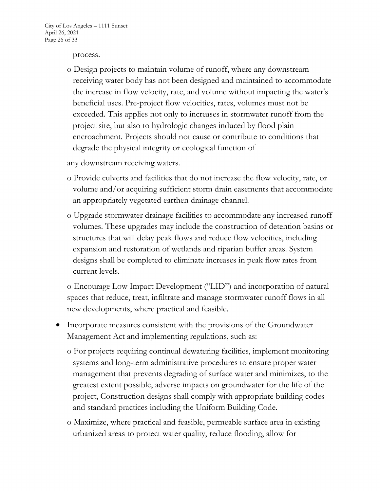#### process.

o Design projects to maintain volume of runoff, where any downstream receiving water body has not been designed and maintained to accommodate the increase in flow velocity, rate, and volume without impacting the water's beneficial uses. Pre-project flow velocities, rates, volumes must not be exceeded. This applies not only to increases in stormwater runoff from the project site, but also to hydrologic changes induced by flood plain encroachment. Projects should not cause or contribute to conditions that degrade the physical integrity or ecological function of

any downstream receiving waters.

- o Provide culverts and facilities that do not increase the flow velocity, rate, or volume and/or acquiring sufficient storm drain easements that accommodate an appropriately vegetated earthen drainage channel.
- o Upgrade stormwater drainage facilities to accommodate any increased runoff volumes. These upgrades may include the construction of detention basins or structures that will delay peak flows and reduce flow velocities, including expansion and restoration of wetlands and riparian buffer areas. System designs shall be completed to eliminate increases in peak flow rates from current levels.

o Encourage Low Impact Development ("LID") and incorporation of natural spaces that reduce, treat, infiltrate and manage stormwater runoff flows in all new developments, where practical and feasible.

- Incorporate measures consistent with the provisions of the Groundwater Management Act and implementing regulations, such as:
	- o For projects requiring continual dewatering facilities, implement monitoring systems and long-term administrative procedures to ensure proper water management that prevents degrading of surface water and minimizes, to the greatest extent possible, adverse impacts on groundwater for the life of the project, Construction designs shall comply with appropriate building codes and standard practices including the Uniform Building Code.
	- o Maximize, where practical and feasible, permeable surface area in existing urbanized areas to protect water quality, reduce flooding, allow for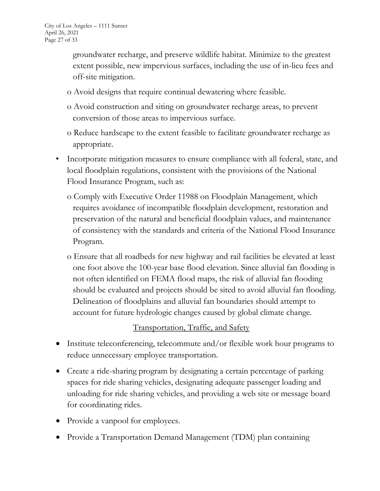groundwater recharge, and preserve wildlife habitat. Minimize to the greatest extent possible, new impervious surfaces, including the use of in-lieu fees and off-site mitigation.

- o Avoid designs that require continual dewatering where feasible.
- o Avoid construction and siting on groundwater recharge areas, to prevent conversion of those areas to impervious surface.
- o Reduce hardscape to the extent feasible to facilitate groundwater recharge as appropriate.
- Incorporate mitigation measures to ensure compliance with all federal, state, and local floodplain regulations, consistent with the provisions of the National Flood Insurance Program, such as:
	- o Comply with Executive Order 11988 on Floodplain Management, which requires avoidance of incompatible floodplain development, restoration and preservation of the natural and beneficial floodplain values, and maintenance of consistency with the standards and criteria of the National Flood Insurance Program.
	- o Ensure that all roadbeds for new highway and rail facilities be elevated at least one foot above the 100-year base flood elevation. Since alluvial fan flooding is not often identified on FEMA flood maps, the risk of alluvial fan flooding should be evaluated and projects should be sited to avoid alluvial fan flooding. Delineation of floodplains and alluvial fan boundaries should attempt to account for future hydrologic changes caused by global climate change.

## Transportation, Traffic, and Safety

- Institute teleconferencing, telecommute and/or flexible work hour programs to reduce unnecessary employee transportation.
- Create a ride-sharing program by designating a certain percentage of parking spaces for ride sharing vehicles, designating adequate passenger loading and unloading for ride sharing vehicles, and providing a web site or message board for coordinating rides.
- Provide a vanpool for employees.
- Provide a Transportation Demand Management (TDM) plan containing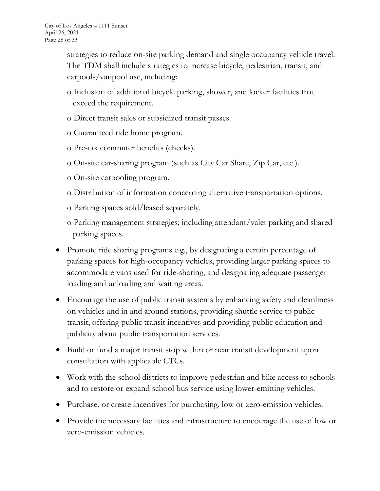strategies to reduce on-site parking demand and single occupancy vehicle travel. The TDM shall include strategies to increase bicycle, pedestrian, transit, and carpools/vanpool use, including:

- o Inclusion of additional bicycle parking, shower, and locker facilities that exceed the requirement.
- o Direct transit sales or subsidized transit passes.
- o Guaranteed ride home program.
- o Pre-tax commuter benefits (checks).
- o On-site car-sharing program (such as City Car Share, Zip Car, etc.).
- o On-site carpooling program.
- o Distribution of information concerning alternative transportation options.
- o Parking spaces sold/leased separately.
- o Parking management strategies; including attendant/valet parking and shared parking spaces.
- x Promote ride sharing programs e.g., by designating a certain percentage of parking spaces for high-occupancy vehicles, providing larger parking spaces to accommodate vans used for ride-sharing, and designating adequate passenger loading and unloading and waiting areas.
- Encourage the use of public transit systems by enhancing safety and cleanliness on vehicles and in and around stations, providing shuttle service to public transit, offering public transit incentives and providing public education and publicity about public transportation services.
- Build or fund a major transit stop within or near transit development upon consultation with applicable CTCs.
- Work with the school districts to improve pedestrian and bike access to schools and to restore or expand school bus service using lower-emitting vehicles.
- Purchase, or create incentives for purchasing, low or zero-emission vehicles.
- Provide the necessary facilities and infrastructure to encourage the use of low or zero-emission vehicles.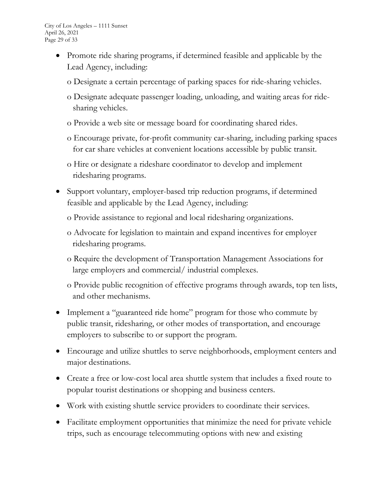- Promote ride sharing programs, if determined feasible and applicable by the Lead Agency, including:
	- o Designate a certain percentage of parking spaces for ride-sharing vehicles.
	- o Designate adequate passenger loading, unloading, and waiting areas for ridesharing vehicles.
	- o Provide a web site or message board for coordinating shared rides.
	- o Encourage private, for-profit community car-sharing, including parking spaces for car share vehicles at convenient locations accessible by public transit.
	- o Hire or designate a rideshare coordinator to develop and implement ridesharing programs.
- Support voluntary, employer-based trip reduction programs, if determined feasible and applicable by the Lead Agency, including:
	- o Provide assistance to regional and local ridesharing organizations.
	- o Advocate for legislation to maintain and expand incentives for employer ridesharing programs.
	- o Require the development of Transportation Management Associations for large employers and commercial/ industrial complexes.
	- o Provide public recognition of effective programs through awards, top ten lists, and other mechanisms.
- Implement a "guaranteed ride home" program for those who commute by public transit, ridesharing, or other modes of transportation, and encourage employers to subscribe to or support the program.
- Encourage and utilize shuttles to serve neighborhoods, employment centers and major destinations.
- Create a free or low-cost local area shuttle system that includes a fixed route to popular tourist destinations or shopping and business centers.
- Work with existing shuttle service providers to coordinate their services.
- Facilitate employment opportunities that minimize the need for private vehicle trips, such as encourage telecommuting options with new and existing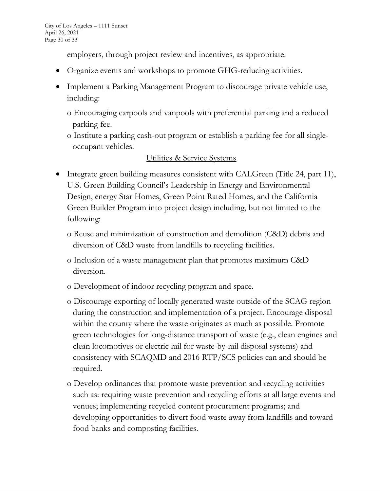employers, through project review and incentives, as appropriate.

- Organize events and workshops to promote GHG-reducing activities.
- Implement a Parking Management Program to discourage private vehicle use, including:
	- o Encouraging carpools and vanpools with preferential parking and a reduced parking fee.
	- o Institute a parking cash-out program or establish a parking fee for all singleoccupant vehicles.

## Utilities & Service Systems

- Integrate green building measures consistent with CALGreen (Title 24, part 11), U.S. Green Building Council's Leadership in Energy and Environmental Design, energy Star Homes, Green Point Rated Homes, and the California Green Builder Program into project design including, but not limited to the following:
	- o Reuse and minimization of construction and demolition (C&D) debris and diversion of C&D waste from landfills to recycling facilities.
	- o Inclusion of a waste management plan that promotes maximum C&D diversion.
	- o Development of indoor recycling program and space.
	- o Discourage exporting of locally generated waste outside of the SCAG region during the construction and implementation of a project. Encourage disposal within the county where the waste originates as much as possible. Promote green technologies for long-distance transport of waste (e.g., clean engines and clean locomotives or electric rail for waste-by-rail disposal systems) and consistency with SCAQMD and 2016 RTP/SCS policies can and should be required.
	- o Develop ordinances that promote waste prevention and recycling activities such as: requiring waste prevention and recycling efforts at all large events and venues; implementing recycled content procurement programs; and developing opportunities to divert food waste away from landfills and toward food banks and composting facilities.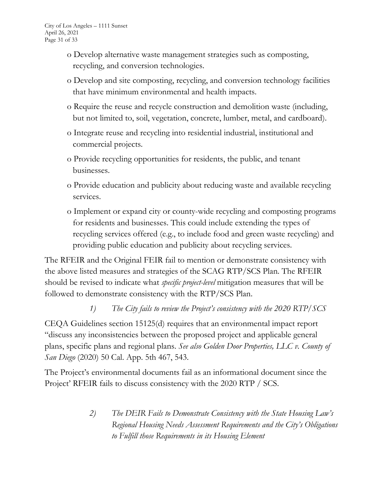- o Develop alternative waste management strategies such as composting, recycling, and conversion technologies.
- o Develop and site composting, recycling, and conversion technology facilities that have minimum environmental and health impacts.
- o Require the reuse and recycle construction and demolition waste (including, but not limited to, soil, vegetation, concrete, lumber, metal, and cardboard).
- o Integrate reuse and recycling into residential industrial, institutional and commercial projects.
- o Provide recycling opportunities for residents, the public, and tenant businesses.
- o Provide education and publicity about reducing waste and available recycling services.
- o Implement or expand city or county-wide recycling and composting programs for residents and businesses. This could include extending the types of recycling services offered (e.g., to include food and green waste recycling) and providing public education and publicity about recycling services.

The RFEIR and the Original FEIR fail to mention or demonstrate consistency with the above listed measures and strategies of the SCAG RTP/SCS Plan. The RFEIR should be revised to indicate what *specific project-level* mitigation measures that will be followed to demonstrate consistency with the RTP/SCS Plan.

### *1) The City fails to review the Project's consistency with the 2020 RTP/SCS*

CEQA Guidelines section 15125(d) requires that an environmental impact report "discuss any inconsistencies between the proposed project and applicable general plans, specific plans and regional plans. *See also Golden Door Properties, LLC v. County of San Diego* (2020) 50 Cal. App. 5th 467, 543.

The Project's environmental documents fail as an informational document since the Project' RFEIR fails to discuss consistency with the 2020 RTP / SCS.

> *2) The DEIR Fails to Demonstrate Consistency with the State Housing Law's Regional Housing Needs Assessment Requirements and the City's Obligations to Fulfill those Requirements in its Housing Element*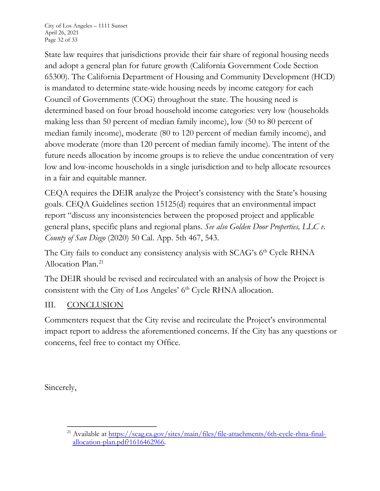City of Los Angeles – 1111 Sunset April 26, 2021 Page 32 of 33

State law requires that jurisdictions provide their fair share of regional housing needs and adopt a general plan for future growth (California Government Code Section 65300). The California Department of Housing and Community Development (HCD) is mandated to determine state-wide housing needs by income category for each Council of Governments (COG) throughout the state. The housing need is determined based on four broad household income categories: very low (households making less than 50 percent of median family income), low (50 to 80 percent of median family income), moderate (80 to 120 percent of median family income), and above moderate (more than 120 percent of median family income). The intent of the future needs allocation by income groups is to relieve the undue concentration of very low and low-income households in a single jurisdiction and to help allocate resources in a fair and equitable manner.

CEQA requires the DEIR analyze the Project's consistency with the State's housing goals. CEQA Guidelines section 15125(d) requires that an environmental impact report "discuss any inconsistencies between the proposed project and applicable general plans, specific plans and regional plans. *See also Golden Door Properties, LLC v. County of San Diego* (2020) 50 Cal. App. 5th 467, 543.

The City fails to conduct any consistency analysis with  $SCAG$ 's  $6<sup>th</sup>$  Cycle RHNA Allocation Plan.21

The DEIR should be revised and recirculated with an analysis of how the Project is consistent with the City of Los Angeles' 6<sup>th</sup> Cycle RHNA allocation.

### III. CONCLUSION

Commenters request that the City revise and recirculate the Project's environmental impact report to address the aforementioned concerns. If the City has any questions or concerns, feel free to contact my Office.

Sincerely,

<sup>&</sup>lt;sup>21</sup> Available at https://scag.ca.gov/sites/main/files/file-attachments/6th-cycle-rhna-finalallocation-plan.pdf?1616462966.